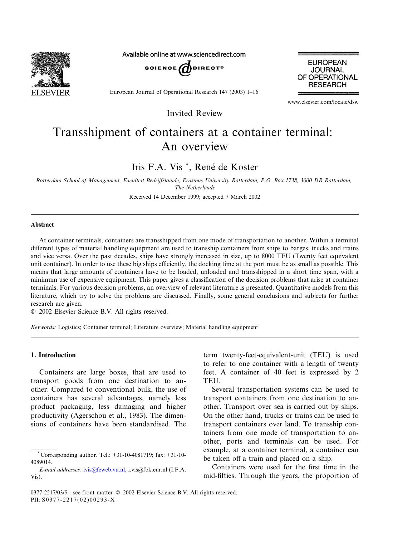

Available online at www.sciencedirect.com





European Journal of Operational Research 147 (2003) 1–16

Invited Review

www.elsevier.com/locate/dsw

# Transshipment of containers at a container terminal: An overview

## Iris F.A. Vis<sup>\*</sup>, René de Koster

Rotterdam School of Management, Faculteit Bedrijfskunde, Erasmus University Rotterdam, P.O. Box1738, 3000 DR Rotterdam, The Netherlands

Received 14 December 1999; accepted 7 March 2002

## Abstract

At container terminals, containers are transshipped from one mode of transportation to another. Within a terminal different types of material handling equipment are used to transship containers from ships to barges, trucks and trains and vice versa. Over the past decades, ships have strongly increased in size, up to 8000 TEU (Twenty feet equivalent unit container). In order to use these big ships efficiently, the docking time at the port must be as small as possible. This means that large amounts of containers have to be loaded, unloaded and transshipped in a short time span, with a minimum use of expensive equipment. This paper gives a classification of the decision problems that arise at container terminals. For various decision problems, an overview of relevant literature is presented. Quantitative models from this literature, which try to solve the problems are discussed. Finally, some general conclusions and subjects for further research are given.

2002 Elsevier Science B.V. All rights reserved.

Keywords: Logistics; Container terminal; Literature overview; Material handling equipment

## 1. Introduction

Containers are large boxes, that are used to transport goods from one destination to another. Compared to conventional bulk, the use of containers has several advantages, namely less product packaging, less damaging and higher productivity (Agerschou et al., 1983). The dimensions of containers have been standardised. The term twenty-feet-equivalent-unit (TEU) is used to refer to one container with a length of twenty feet. A container of 40 feet is expressed by 2 **TEU** 

Several transportation systems can be used to transport containers from one destination to another. Transport over sea is carried out by ships. On the other hand, trucks or trains can be used to transport containers over land. To transship containers from one mode of transportation to another, ports and terminals can be used. For example, at a container terminal, a container can be taken off a train and placed on a ship.

Containers were used for the first time in the mid-fifties. Through the years, the proportion of

Corresponding author. Tel.: +31-10-4081719; fax: +31-10-4089014.

E-mail addresses: [ivis@feweb.vu.nl,](mail to: ivis@feweb.vu.nl,) i.vis@fbk.eur.nl (I.F.A. Vis).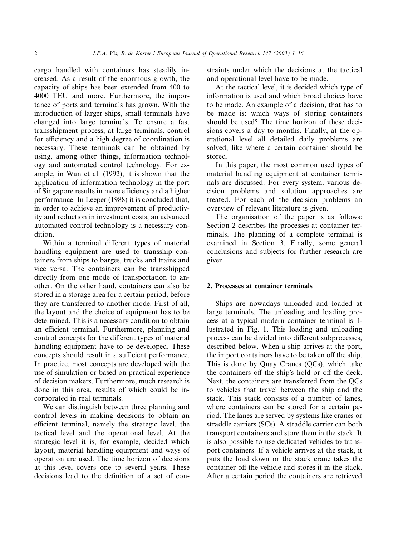cargo handled with containers has steadily increased. As a result of the enormous growth, the capacity of ships has been extended from 400 to 4000 TEU and more. Furthermore, the importance of ports and terminals has grown. With the introduction of larger ships, small terminals have changed into large terminals. To ensure a fast transshipment process, at large terminals, control for efficiency and a high degree of coordination is necessary. These terminals can be obtained by using, among other things, information technology and automated control technology. For example, in Wan et al. (1992), it is shown that the application of information technology in the port of Singapore results in more efficiency and a higher performance. In Leeper (1988) it is concluded that, in order to achieve an improvement of productivity and reduction in investment costs, an advanced automated control technology is a necessary condition.

Within a terminal different types of material handling equipment are used to transship containers from ships to barges, trucks and trains and vice versa. The containers can be transshipped directly from one mode of transportation to another. On the other hand, containers can also be stored in a storage area for a certain period, before they are transferred to another mode. First of all, the layout and the choice of equipment has to be determined. This is a necessary condition to obtain an efficient terminal. Furthermore, planning and control concepts for the different types of material handling equipment have to be developed. These concepts should result in a sufficient performance. In practice, most concepts are developed with the use of simulation or based on practical experience of decision makers. Furthermore, much research is done in this area, results of which could be incorporated in real terminals.

We can distinguish between three planning and control levels in making decisions to obtain an efficient terminal, namely the strategic level, the tactical level and the operational level. At the strategic level it is, for example, decided which layout, material handling equipment and ways of operation are used. The time horizon of decisions at this level covers one to several years. These decisions lead to the definition of a set of constraints under which the decisions at the tactical and operational level have to be made.

At the tactical level, it is decided which type of information is used and which broad choices have to be made. An example of a decision, that has to be made is: which ways of storing containers should be used? The time horizon of these decisions covers a day to months. Finally, at the operational level all detailed daily problems are solved, like where a certain container should be stored.

In this paper, the most common used types of material handling equipment at container terminals are discussed. For every system, various decision problems and solution approaches are treated. For each of the decision problems an overview of relevant literature is given.

The organisation of the paper is as follows: Section 2 describes the processes at container terminals. The planning of a complete terminal is examined in Section 3. Finally, some general conclusions and subjects for further research are given.

### 2. Processes at container terminals

Ships are nowadays unloaded and loaded at large terminals. The unloading and loading process at a typical modern container terminal is illustrated in Fig. 1. This loading and unloading process can be divided into different subprocesses, described below. When a ship arrives at the port, the import containers have to be taken off the ship. This is done by Quay Cranes (QCs), which take the containers off the ship's hold or off the deck. Next, the containers are transferred from the QCs to vehicles that travel between the ship and the stack. This stack consists of a number of lanes, where containers can be stored for a certain period. The lanes are served by systems like cranes or straddle carriers (SCs). A straddle carrier can both transport containers and store them in the stack. It is also possible to use dedicated vehicles to transport containers. If a vehicle arrives at the stack, it puts the load down or the stack crane takes the container off the vehicle and stores it in the stack. After a certain period the containers are retrieved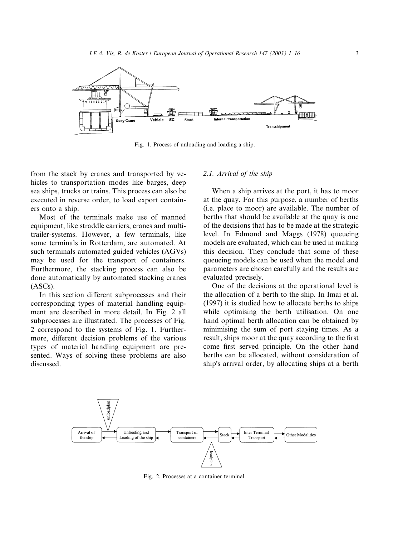

Fig. 1. Process of unloading and loading a ship.

from the stack by cranes and transported by vehicles to transportation modes like barges, deep sea ships, trucks or trains. This process can also be executed in reverse order, to load export containers onto a ship.

Most of the terminals make use of manned equipment, like straddle carriers, cranes and multitrailer-systems. However, a few terminals, like some terminals in Rotterdam, are automated. At such terminals automated guided vehicles (AGVs) may be used for the transport of containers. Furthermore, the stacking process can also be done automatically by automated stacking cranes (ASCs).

In this section different subprocesses and their corresponding types of material handling equipment are described in more detail. In Fig. 2 all subprocesses are illustrated. The processes of Fig. 2 correspond to the systems of Fig. 1. Furthermore, different decision problems of the various types of material handling equipment are presented. Ways of solving these problems are also discussed.

## 2.1. Arrival of the ship

When a ship arrives at the port, it has to moor at the quay. For this purpose, a number of berths (i.e. place to moor) are available. The number of berths that should be available at the quay is one of the decisions that has to be made at the strategic level. In Edmond and Maggs (1978) queueing models are evaluated, which can be used in making this decision. They conclude that some of these queueing models can be used when the model and parameters are chosen carefully and the results are evaluated precisely.

One of the decisions at the operational level is the allocation of a berth to the ship. In Imai et al. (1997) it is studied how to allocate berths to ships while optimising the berth utilisation. On one hand optimal berth allocation can be obtained by minimising the sum of port staying times. As a result, ships moor at the quay according to the first come first served principle. On the other hand berths can be allocated, without consideration of ship's arrival order, by allocating ships at a berth



Fig. 2. Processes at a container terminal.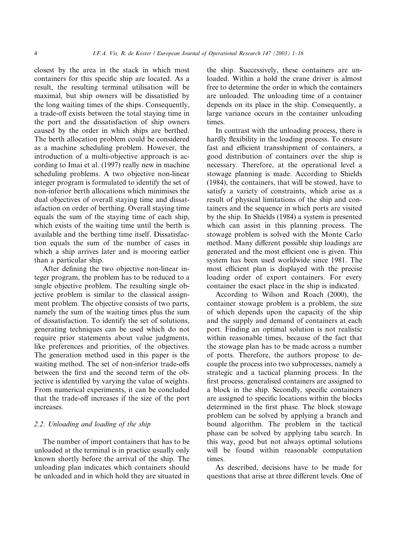closest by the area in the stack in which most containers for this specific ship are located. As a result, the resulting terminal utilisation will be maximal, but ship owners will be dissatisfied by the long waiting times of the ships. Consequently, a trade-off exists between the total staying time in the port and the dissatisfaction of ship owners caused by the order in which ships are berthed. The berth allocation problem could be considered as a machine scheduling problem. However, the introduction of a multi-objective approach is according to Imai et al. (1997) really new in machine scheduling problems. A two objective non-linear integer program is formulated to identify the set of non-inferior berth allocations which minimises the dual objectives of overall staying time and dissatisfaction on order of berthing. Overall staying time equals the sum of the staying time of each ship, which exists of the waiting time until the berth is available and the berthing time itself. Dissatisfaction equals the sum of the number of cases in which a ship arrives later and is mooring earlier than a particular ship.

After defining the two objective non-linear integer program, the problem has to be reduced to a single objective problem. The resulting single objective problem is similar to the classical assignment problem. The objective consists of two parts, namely the sum of the waiting times plus the sum of dissatisfaction. To identify the set of solutions, generating techniques can be used which do not require prior statements about value judgments, like preferences and priorities, of the objectives. The generation method used in this paper is the waiting method. The set of non-inferior trade-offs between the first and the second term of the objective is identified by varying the value of weights. From numerical experiments, it can be concluded that the trade-off increases if the size of the port increases.

## 2.2. Unloading and loading of the ship

The number of import containers that has to be unloaded at the terminal is in practice usually only known shortly before the arrival of the ship. The unloading plan indicates which containers should be unloaded and in which hold they are situated in the ship. Successively, these containers are unloaded. Within a hold the crane driver is almost free to determine the order in which the containers are unloaded. The unloading time of a container depends on its place in the ship. Consequently, a large variance occurs in the container unloading times.

In contrast with the unloading process, there is hardly flexibility in the loading process. To ensure fast and efficient transshipment of containers, a good distribution of containers over the ship is necessary. Therefore, at the operational level a stowage planning is made. According to Shields (1984), the containers, that will be stowed, have to satisfy a variety of constraints, which arise as a result of physical limitations of the ship and containers and the sequence in which ports are visited by the ship. In Shields (1984) a system is presented which can assist in this planning process. The stowage problem is solved with the Monte Carlo method. Many different possible ship loadings are generated and the most efficient one is given. This system has been used worldwide since 1981. The most efficient plan is displayed with the precise loading order of export containers. For every container the exact place in the ship is indicated.

According to Wilson and Roach (2000), the container stowage problem is a problem, the size of which depends upon the capacity of the ship and the supply and demand of containers at each port. Finding an optimal solution is not realistic within reasonable times, because of the fact that the stowage plan has to be made across a number of ports. Therefore, the authors propose to decouple the process into two subprocesses, namely a strategic and a tactical planning process. In the first process, generalised containers are assigned to a block in the ship. Secondly, specific containers are assigned to specific locations within the blocks determined in the first phase. The block stowage problem can be solved by applying a branch and bound algorithm. The problem in the tactical phase can be solved by applying tabu search. In this way, good but not always optimal solutions will be found within reasonable computation times.

As described, decisions have to be made for questions that arise at three different levels. One of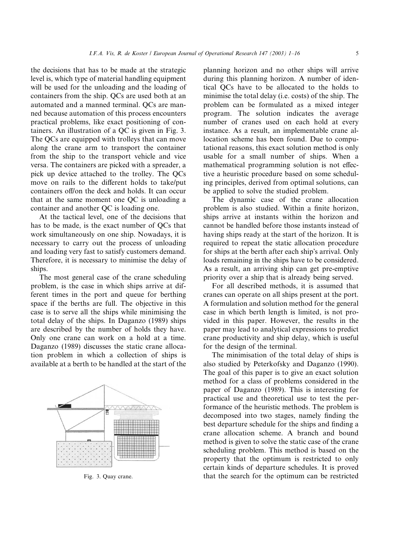the decisions that has to be made at the strategic level is, which type of material handling equipment will be used for the unloading and the loading of containers from the ship. QCs are used both at an automated and a manned terminal. QCs are manned because automation of this process encounters practical problems, like exact positioning of containers. An illustration of a QC is given in Fig. 3. The QCs are equipped with trolleys that can move along the crane arm to transport the container from the ship to the transport vehicle and vice versa. The containers are picked with a spreader, a pick up device attached to the trolley. The QCs move on rails to the different holds to take/put containers off/on the deck and holds. It can occur that at the same moment one QC is unloading a container and another QC is loading one.

At the tactical level, one of the decisions that has to be made, is the exact number of QCs that work simultaneously on one ship. Nowadays, it is necessary to carry out the process of unloading and loading very fast to satisfy customers demand. Therefore, it is necessary to minimise the delay of ships.

The most general case of the crane scheduling problem, is the case in which ships arrive at different times in the port and queue for berthing space if the berths are full. The objective in this case is to serve all the ships while minimising the total delay of the ships. In Daganzo (1989) ships are described by the number of holds they have. Only one crane can work on a hold at a time. Daganzo (1989) discusses the static crane allocation problem in which a collection of ships is available at a berth to be handled at the start of the



planning horizon and no other ships will arrive during this planning horizon. A number of identical QCs have to be allocated to the holds to minimise the total delay (i.e. costs) of the ship. The problem can be formulated as a mixed integer program. The solution indicates the average number of cranes used on each hold at every instance. As a result, an implementable crane allocation scheme has been found. Due to computational reasons, this exact solution method is only usable for a small number of ships. When a mathematical programming solution is not effective a heuristic procedure based on some scheduling principles, derived from optimal solutions, can be applied to solve the studied problem.

The dynamic case of the crane allocation problem is also studied. Within a finite horizon, ships arrive at instants within the horizon and cannot be handled before those instants instead of having ships ready at the start of the horizon. It is required to repeat the static allocation procedure for ships at the berth after each ship's arrival. Only loads remaining in the ships have to be considered. As a result, an arriving ship can get pre-emptive priority over a ship that is already being served.

For all described methods, it is assumed that cranes can operate on all ships present at the port. A formulation and solution method for the general case in which berth length is limited, is not provided in this paper. However, the results in the paper may lead to analytical expressions to predict crane productivity and ship delay, which is useful for the design of the terminal.

The minimisation of the total delay of ships is also studied by Peterkofsky and Daganzo (1990). The goal of this paper is to give an exact solution method for a class of problems considered in the paper of Daganzo (1989). This is interesting for practical use and theoretical use to test the performance of the heuristic methods. The problem is decomposed into two stages, namely finding the best departure schedule for the ships and finding a crane allocation scheme. A branch and bound method is given to solve the static case of the crane scheduling problem. This method is based on the property that the optimum is restricted to only certain kinds of departure schedules. It is proved Fig. 3. Quay crane. that the search for the optimum can be restricted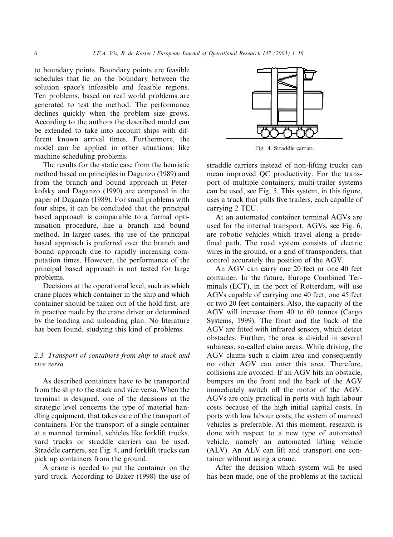to boundary points. Boundary points are feasible schedules that lie on the boundary between the solution space's infeasible and feasible regions. Ten problems, based on real world problems are generated to test the method. The performance declines quickly when the problem size grows. According to the authors the described model can be extended to take into account ships with different known arrival times. Furthermore, the model can be applied in other situations, like machine scheduling problems.

The results for the static case from the heuristic method based on principles in Daganzo (1989) and from the branch and bound approach in Peterkofsky and Daganzo (1990) are compared in the paper of Daganzo (1989). For small problems with four ships, it can be concluded that the principal based approach is comparable to a formal optimisation procedure, like a branch and bound method. In larger cases, the use of the principal based approach is preferred over the branch and bound approach due to rapidly increasing computation times. However, the performance of the principal based approach is not tested for large problems.

Decisions at the operational level, such as which crane places which container in the ship and which container should be taken out of the hold first, are in practice made by the crane driver or determined by the loading and unloading plan. No literature has been found, studying this kind of problems.

## 2.3. Transport of containers from ship to stack and vice versa

As described containers have to be transported from the ship to the stack and vice versa. When the terminal is designed, one of the decisions at the strategic level concerns the type of material handling equipment, that takes care of the transport of containers. For the transport of a single container at a manned terminal, vehicles like forklift trucks, yard trucks or straddle carriers can be used. Straddle carriers, see Fig. 4, and forklift trucks can pick up containers from the ground.

A crane is needed to put the container on the yard truck. According to Baker (1998) the use of



Fig. 4. Straddle carrier.

straddle carriers instead of non-lifting trucks can mean improved QC productivity. For the transport of multiple containers, multi-trailer systems can be used, see Fig. 5. This system, in this figure, uses a truck that pulls five trailers, each capable of carrying 2 TEU.

At an automated container terminal AGVs are used for the internal transport. AGVs, see Fig. 6, are robotic vehicles which travel along a predefined path. The road system consists of electric wires in the ground, or a grid of transponders, that control accurately the position of the AGV.

An AGV can carry one 20 feet or one 40 feet container. In the future, Europe Combined Terminals (ECT), in the port of Rotterdam, will use AGVs capable of carrying one 40 feet, one 45 feet or two 20 feet containers. Also, the capacity of the AGV will increase from 40 to 60 tonnes (Cargo Systems, 1999). The front and the back of the AGV are fitted with infrared sensors, which detect obstacles. Further, the area is divided in several subareas, so-called claim areas. While driving, the AGV claims such a claim area and consequently no other AGV can enter this area. Therefore, collisions are avoided. If an AGV hits an obstacle, bumpers on the front and the back of the AGV immediately switch off the motor of the AGV. AGVs are only practical in ports with high labour costs because of the high initial capital costs. In ports with low labour costs, the system of manned vehicles is preferable. At this moment, research is done with respect to a new type of automated vehicle, namely an automated lifting vehicle (ALV). An ALV can lift and transport one container without using a crane.

After the decision which system will be used has been made, one of the problems at the tactical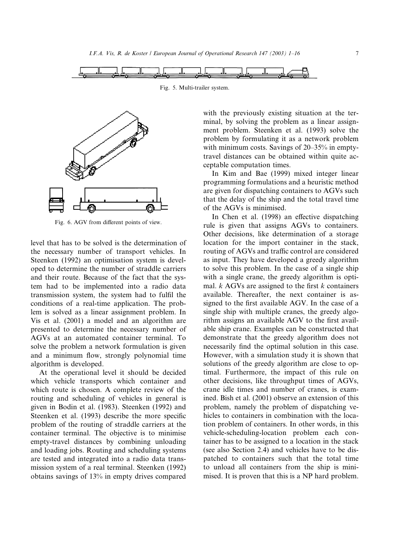

Fig. 5. Multi-trailer system.



Fig. 6. AGV from different points of view.

level that has to be solved is the determination of the necessary number of transport vehicles. In Steenken (1992) an optimisation system is developed to determine the number of straddle carriers and their route. Because of the fact that the system had to be implemented into a radio data transmission system, the system had to fulfil the conditions of a real-time application. The problem is solved as a linear assignment problem. In Vis et al. (2001) a model and an algorithm are presented to determine the necessary number of AGVs at an automated container terminal. To solve the problem a network formulation is given and a minimum flow, strongly polynomial time algorithm is developed.

At the operational level it should be decided which vehicle transports which container and which route is chosen. A complete review of the routing and scheduling of vehicles in general is given in Bodin et al. (1983). Steenken (1992) and Steenken et al. (1993) describe the more specific problem of the routing of straddle carriers at the container terminal. The objective is to minimise empty-travel distances by combining unloading and loading jobs. Routing and scheduling systems are tested and integrated into a radio data transmission system of a real terminal. Steenken (1992) obtains savings of 13% in empty drives compared

with the previously existing situation at the terminal, by solving the problem as a linear assignment problem. Steenken et al. (1993) solve the problem by formulating it as a network problem with minimum costs. Savings of 20–35% in emptytravel distances can be obtained within quite acceptable computation times.

In Kim and Bae (1999) mixed integer linear programming formulations and a heuristic method are given for dispatching containers to AGVs such that the delay of the ship and the total travel time of the AGVs is minimised.

In Chen et al. (1998) an effective dispatching rule is given that assigns AGVs to containers. Other decisions, like determination of a storage location for the import container in the stack, routing of AGVs and traffic control are considered as input. They have developed a greedy algorithm to solve this problem. In the case of a single ship with a single crane, the greedy algorithm is optimal.  $k$  AGVs are assigned to the first  $k$  containers available. Thereafter, the next container is assigned to the first available AGV. In the case of a single ship with multiple cranes, the greedy algorithm assigns an available AGV to the first available ship crane. Examples can be constructed that demonstrate that the greedy algorithm does not necessarily find the optimal solution in this case. However, with a simulation study it is shown that solutions of the greedy algorithm are close to optimal. Furthermore, the impact of this rule on other decisions, like throughput times of AGVs, crane idle times and number of cranes, is examined. Bish et al. (2001) observe an extension of this problem, namely the problem of dispatching vehicles to containers in combination with the location problem of containers. In other words, in this vehicle-scheduling-location problem each container has to be assigned to a location in the stack (see also Section 2.4) and vehicles have to be dispatched to containers such that the total time to unload all containers from the ship is minimised. It is proven that this is a NP hard problem.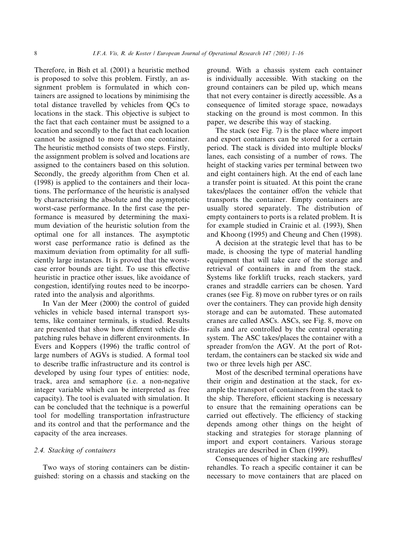Therefore, in Bish et al. (2001) a heuristic method is proposed to solve this problem. Firstly, an assignment problem is formulated in which containers are assigned to locations by minimising the total distance travelled by vehicles from QCs to locations in the stack. This objective is subject to the fact that each container must be assigned to a location and secondly to the fact that each location cannot be assigned to more than one container. The heuristic method consists of two steps. Firstly, the assignment problem is solved and locations are assigned to the containers based on this solution. Secondly, the greedy algorithm from Chen et al. (1998) is applied to the containers and their locations. The performance of the heuristic is analysed by characterising the absolute and the asymptotic worst-case performance. In the first case the performance is measured by determining the maximum deviation of the heuristic solution from the optimal one for all instances. The asymptotic worst case performance ratio is defined as the maximum deviation from optimality for all sufficiently large instances. It is proved that the worstcase error bounds are tight. To use this effective heuristic in practice other issues, like avoidance of congestion, identifying routes need to be incorporated into the analysis and algorithms.

In Van der Meer (2000) the control of guided vehicles in vehicle based internal transport systems, like container terminals, is studied. Results are presented that show how different vehicle dispatching rules behave in different environments. In Evers and Koppers (1996) the traffic control of large numbers of AGVs is studied. A formal tool to describe traffic infrastructure and its control is developed by using four types of entities: node, track, area and semaphore (i.e. a non-negative integer variable which can be interpreted as free capacity). The tool is evaluated with simulation. It can be concluded that the technique is a powerful tool for modelling transportation infrastructure and its control and that the performance and the capacity of the area increases.

### 2.4. Stacking of containers

Two ways of storing containers can be distinguished: storing on a chassis and stacking on the ground. With a chassis system each container is individually accessible. With stacking on the ground containers can be piled up, which means that not every container is directly accessible. As a consequence of limited storage space, nowadays stacking on the ground is most common. In this paper, we describe this way of stacking.

The stack (see Fig. 7) is the place where import and export containers can be stored for a certain period. The stack is divided into multiple blocks/ lanes, each consisting of a number of rows. The height of stacking varies per terminal between two and eight containers high. At the end of each lane a transfer point is situated. At this point the crane takes/places the container off/on the vehicle that transports the container. Empty containers are usually stored separately. The distribution of empty containers to ports is a related problem. It is for example studied in Crainic et al. (1993), Shen and Khoong (1995) and Cheung and Chen (1998).

A decision at the strategic level that has to be made, is choosing the type of material handling equipment that will take care of the storage and retrieval of containers in and from the stack. Systems like forklift trucks, reach stackers, yard cranes and straddle carriers can be chosen. Yard cranes (see Fig. 8) move on rubber tyres or on rails over the containers. They can provide high density storage and can be automated. These automated cranes are called ASCs. ASCs, see Fig. 8, move on rails and are controlled by the central operating system. The ASC takes/places the container with a spreader from/on the AGV. At the port of Rotterdam, the containers can be stacked six wide and two or three levels high per ASC.

Most of the described terminal operations have their origin and destination at the stack, for example the transport of containers from the stack to the ship. Therefore, efficient stacking is necessary to ensure that the remaining operations can be carried out effectively. The efficiency of stacking depends among other things on the height of stacking and strategies for storage planning of import and export containers. Various storage strategies are described in Chen (1999).

Consequences of higher stacking are reshuffles/ rehandles. To reach a specific container it can be necessary to move containers that are placed on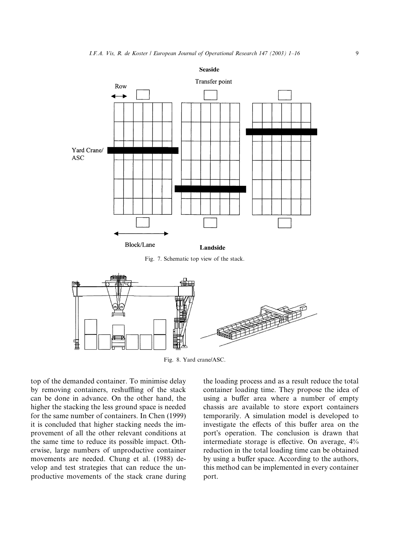

Fig. 7. Schematic top view of the stack.



Fig. 8. Yard crane/ASC.

top of the demanded container. To minimise delay by removing containers, reshuffling of the stack can be done in advance. On the other hand, the higher the stacking the less ground space is needed for the same number of containers. In Chen (1999) it is concluded that higher stacking needs the improvement of all the other relevant conditions at the same time to reduce its possible impact. Otherwise, large numbers of unproductive container movements are needed. Chung et al. (1988) develop and test strategies that can reduce the unproductive movements of the stack crane during the loading process and as a result reduce the total container loading time. They propose the idea of using a buffer area where a number of empty chassis are available to store export containers temporarily. A simulation model is developed to investigate the effects of this buffer area on the port's operation. The conclusion is drawn that intermediate storage is effective. On average, 4% reduction in the total loading time can be obtained by using a buffer space. According to the authors, this method can be implemented in every container port.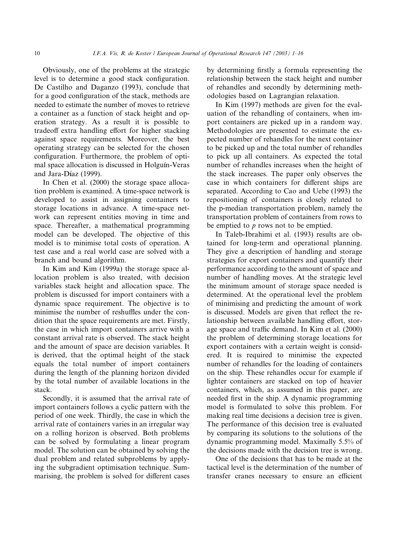Obviously, one of the problems at the strategic level is to determine a good stack configuration. De Castilho and Daganzo (1993), conclude that for a good configuration of the stack, methods are needed to estimate the number of moves to retrieve a container as a function of stack height and operation strategy. As a result it is possible to tradeoff extra handling effort for higher stacking against space requirements. Moreover, the best operating strategy can be selected for the chosen configuration. Furthermore, the problem of optimal space allocation is discussed in Holguín-Veras and Jara-Díaz (1999).

In Chen et al. (2000) the storage space allocation problem is examined. A time-space network is developed to assist in assigning containers to storage locations in advance. A time-space network can represent entities moving in time and space. Thereafter, a mathematical programming model can be developed. The objective of this model is to minimise total costs of operation. A test case and a real world case are solved with a branch and bound algorithm.

In Kim and Kim (1999a) the storage space allocation problem is also treated, with decision variables stack height and allocation space. The problem is discussed for import containers with a dynamic space requirement. The objective is to minimise the number of reshuffles under the condition that the space requirements are met. Firstly, the case in which import containers arrive with a constant arrival rate is observed. The stack height and the amount of space are decision variables. It is derived, that the optimal height of the stack equals the total number of import containers during the length of the planning horizon divided by the total number of available locations in the stack.

Secondly, it is assumed that the arrival rate of import containers follows a cyclic pattern with the period of one week. Thirdly, the case in which the arrival rate of containers varies in an irregular way on a rolling horizon is observed. Both problems can be solved by formulating a linear program model. The solution can be obtained by solving the dual problem and related subproblems by applying the subgradient optimisation technique. Summarising, the problem is solved for different cases

by determining firstly a formula representing the relationship between the stack height and number of rehandles and secondly by determining methodologies based on Lagrangian relaxation.

In Kim (1997) methods are given for the evaluation of the rehandling of containers, when import containers are picked up in a random way. Methodologies are presented to estimate the expected number of rehandles for the next container to be picked up and the total number of rehandles to pick up all containers. As expected the total number of rehandles increases when the height of the stack increases. The paper only observes the case in which containers for different ships are separated. According to Cao and Uebe (1993) the repositioning of containers is closely related to the p-median transportation problem, namely the transportation problem of containers from rows to be emptied to *p* rows not to be emptied.

In Taleb-Ibrahimi et al. (1993) results are obtained for long-term and operational planning. They give a description of handling and storage strategies for export containers and quantify their performance according to the amount of space and number of handling moves. At the strategic level the minimum amount of storage space needed is determined. At the operational level the problem of minimising and predicting the amount of work is discussed. Models are given that reflect the relationship between available handling effort, storage space and traffic demand. In Kim et al. (2000) the problem of determining storage locations for export containers with a certain weight is considered. It is required to minimise the expected number of rehandles for the loading of containers on the ship. These rehandles occur for example if lighter containers are stacked on top of heavier containers, which, as assumed in this paper, are needed first in the ship. A dynamic programming model is formulated to solve this problem. For making real time decisions a decision tree is given. The performance of this decision tree is evaluated by comparing its solutions to the solutions of the dynamic programming model. Maximally 5.5% of the decisions made with the decision tree is wrong.

One of the decisions that has to be made at the tactical level is the determination of the number of transfer cranes necessary to ensure an efficient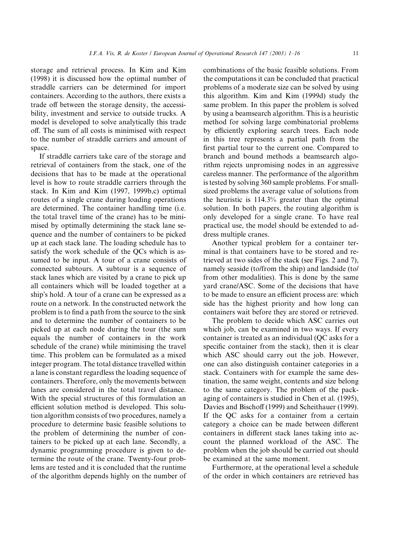storage and retrieval process. In Kim and Kim (1998) it is discussed how the optimal number of straddle carriers can be determined for import containers. According to the authors, there exists a trade off between the storage density, the accessibility, investment and service to outside trucks. A model is developed to solve analytically this trade off. The sum of all costs is minimised with respect to the number of straddle carriers and amount of space.

If straddle carriers take care of the storage and retrieval of containers from the stack, one of the decisions that has to be made at the operational level is how to route straddle carriers through the stack. In Kim and Kim (1997, 1999b,c) optimal routes of a single crane during loading operations are determined. The container handling time (i.e. the total travel time of the crane) has to be minimised by optimally determining the stack lane sequence and the number of containers to be picked up at each stack lane. The loading schedule has to satisfy the work schedule of the QCs which is assumed to be input. A tour of a crane consists of connected subtours. A subtour is a sequence of stack lanes which are visited by a crane to pick up all containers which will be loaded together at a ship's hold. A tour of a crane can be expressed as a route on a network. In the constructed network the problem is to find a path from the source to the sink and to determine the number of containers to be picked up at each node during the tour (the sum equals the number of containers in the work schedule of the crane) while minimising the travel time. This problem can be formulated as a mixed integer program. The total distance travelled within a lane is constant regardless the loading sequence of containers. Therefore, only the movements between lanes are considered in the total travel distance. With the special structures of this formulation an efficient solution method is developed. This solution algorithm consists of two procedures, namely a procedure to determine basic feasible solutions to the problem of determining the number of containers to be picked up at each lane. Secondly, a dynamic programming procedure is given to determine the route of the crane. Twenty-four problems are tested and it is concluded that the runtime of the algorithm depends highly on the number of combinations of the basic feasible solutions. From the computations it can be concluded that practical problems of a moderate size can be solved by using this algorithm. Kim and Kim (1999d) study the same problem. In this paper the problem is solved by using a beamsearch algorithm. This is a heuristic method for solving large combinatorial problems by efficiently exploring search trees. Each node in this tree represents a partial path from the first partial tour to the current one. Compared to branch and bound methods a beamsearch algorithm rejects unpromising nodes in an aggressive careless manner. The performance of the algorithm is tested by solving 360 sample problems. For smallsized problems the average value of solutions from the heuristic is 114.3% greater than the optimal solution. In both papers, the routing algorithm is only developed for a single crane. To have real practical use, the model should be extended to address multiple cranes.

Another typical problem for a container terminal is that containers have to be stored and retrieved at two sides of the stack (see Figs. 2 and 7), namely seaside (to/from the ship) and landside (to/ from other modalities). This is done by the same yard crane/ASC. Some of the decisions that have to be made to ensure an efficient process are: which side has the highest priority and how long can containers wait before they are stored or retrieved.

The problem to decide which ASC carries out which job, can be examined in two ways. If every container is treated as an individual (QC asks for a specific container from the stack), then it is clear which ASC should carry out the job. However, one can also distinguish container categories in a stack. Containers with for example the same destination, the same weight, contents and size belong to the same category. The problem of the packaging of containers is studied in Chen et al. (1995), Davies and Bischoff (1999) and Scheithauer (1999). If the QC asks for a container from a certain category a choice can be made between different containers in different stack lanes taking into account the planned workload of the ASC. The problem when the job should be carried out should be examined at the same moment.

Furthermore, at the operational level a schedule of the order in which containers are retrieved has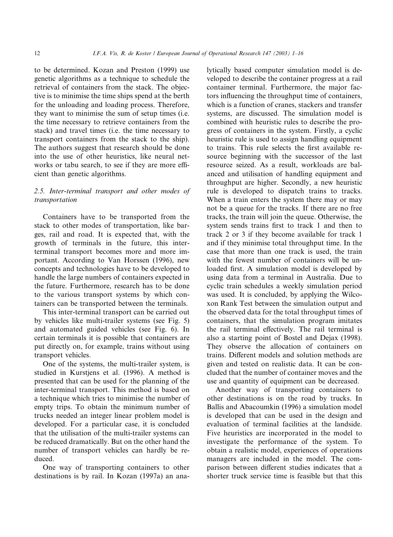to be determined. Kozan and Preston (1999) use genetic algorithms as a technique to schedule the retrieval of containers from the stack. The objective is to minimise the time ships spend at the berth for the unloading and loading process. Therefore, they want to minimise the sum of setup times (i.e. the time necessary to retrieve containers from the stack) and travel times (i.e. the time necessary to transport containers from the stack to the ship). The authors suggest that research should be done into the use of other heuristics, like neural networks or tabu search, to see if they are more efficient than genetic algorithms.

## 2.5. Inter-terminal transport and other modes of transportation

Containers have to be transported from the stack to other modes of transportation, like barges, rail and road. It is expected that, with the growth of terminals in the future, this interterminal transport becomes more and more important. According to Van Horssen (1996), new concepts and technologies have to be developed to handle the large numbers of containers expected in the future. Furthermore, research has to be done to the various transport systems by which containers can be transported between the terminals.

This inter-terminal transport can be carried out by vehicles like multi-trailer systems (see Fig. 5) and automated guided vehicles (see Fig. 6). In certain terminals it is possible that containers are put directly on, for example, trains without using transport vehicles.

One of the systems, the multi-trailer system, is studied in Kurstjens et al. (1996). A method is presented that can be used for the planning of the inter-terminal transport. This method is based on a technique which tries to minimise the number of empty trips. To obtain the minimum number of trucks needed an integer linear problem model is developed. For a particular case, it is concluded that the utilisation of the multi-trailer systems can be reduced dramatically. But on the other hand the number of transport vehicles can hardly be reduced.

One way of transporting containers to other destinations is by rail. In Kozan (1997a) an analytically based computer simulation model is developed to describe the container progress at a rail container terminal. Furthermore, the major factors influencing the throughput time of containers, which is a function of cranes, stackers and transfer systems, are discussed. The simulation model is combined with heuristic rules to describe the progress of containers in the system. Firstly, a cyclic heuristic rule is used to assign handling equipment to trains. This rule selects the first available resource beginning with the successor of the last resource seized. As a result, workloads are balanced and utilisation of handling equipment and throughput are higher. Secondly, a new heuristic rule is developed to dispatch trains to tracks. When a train enters the system there may or may not be a queue for the tracks. If there are no free tracks, the train will join the queue. Otherwise, the system sends trains first to track 1 and then to track 2 or 3 if they become available for track 1 and if they minimise total throughput time. In the case that more than one track is used, the train with the fewest number of containers will be unloaded first. A simulation model is developed by using data from a terminal in Australia. Due to cyclic train schedules a weekly simulation period was used. It is concluded, by applying the Wilcoxon Rank Test between the simulation output and the observed data for the total throughput times of containers, that the simulation program imitates the rail terminal effectively. The rail terminal is also a starting point of Bostel and Dejax (1998). They observe the allocation of containers on trains. Different models and solution methods are given and tested on realistic data. It can be concluded that the number of container moves and the use and quantity of equipment can be decreased.

Another way of transporting containers to other destinations is on the road by trucks. In Ballis and Abacoumkin (1996) a simulation model is developed that can be used in the design and evaluation of terminal facilities at the landside. Five heuristics are incorporated in the model to investigate the performance of the system. To obtain a realistic model, experiences of operations managers are included in the model. The comparison between different studies indicates that a shorter truck service time is feasible but that this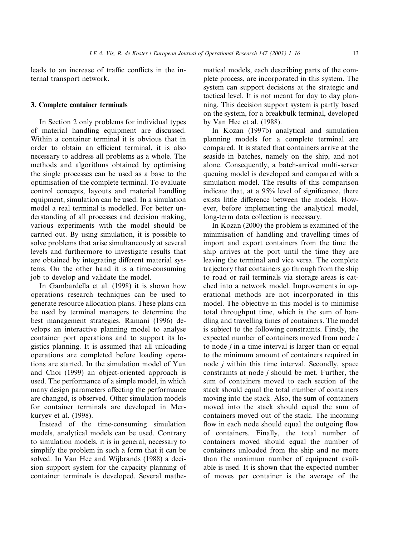leads to an increase of traffic conflicts in the internal transport network.

#### 3. Complete container terminals

In Section 2 only problems for individual types of material handling equipment are discussed. Within a container terminal it is obvious that in order to obtain an efficient terminal, it is also necessary to address all problems as a whole. The methods and algorithms obtained by optimising the single processes can be used as a base to the optimisation of the complete terminal. To evaluate control concepts, layouts and material handling equipment, simulation can be used. In a simulation model a real terminal is modelled. For better understanding of all processes and decision making, various experiments with the model should be carried out. By using simulation, it is possible to solve problems that arise simultaneously at several levels and furthermore to investigate results that are obtained by integrating different material systems. On the other hand it is a time-consuming job to develop and validate the model.

In Gambardella et al. (1998) it is shown how operations research techniques can be used to generate resource allocation plans. These plans can be used by terminal managers to determine the best management strategies. Ramani (1996) develops an interactive planning model to analyse container port operations and to support its logistics planning. It is assumed that all unloading operations are completed before loading operations are started. In the simulation model of Yun and Choi (1999) an object-oriented approach is used. The performance of a simple model, in which many design parameters affecting the performance are changed, is observed. Other simulation models for container terminals are developed in Merkuryev et al. (1998).

Instead of the time-consuming simulation models, analytical models can be used. Contrary to simulation models, it is in general, necessary to simplify the problem in such a form that it can be solved. In Van Hee and Wijbrands (1988) a decision support system for the capacity planning of container terminals is developed. Several mathematical models, each describing parts of the complete process, are incorporated in this system. The system can support decisions at the strategic and tactical level. It is not meant for day to day planning. This decision support system is partly based on the system, for a breakbulk terminal, developed by Van Hee et al. (1988).

In Kozan (1997b) analytical and simulation planning models for a complete terminal are compared. It is stated that containers arrive at the seaside in batches, namely on the ship, and not alone. Consequently, a batch-arrival multi-server queuing model is developed and compared with a simulation model. The results of this comparison indicate that, at a 95% level of significance, there exists little difference between the models. However, before implementing the analytical model, long-term data collection is necessary.

In Kozan (2000) the problem is examined of the minimisation of handling and travelling times of import and export containers from the time the ship arrives at the port until the time they are leaving the terminal and vice versa. The complete trajectory that containers go through from the ship to road or rail terminals via storage areas is catched into a network model. Improvements in operational methods are not incorporated in this model. The objective in this model is to minimise total throughput time, which is the sum of handling and travelling times of containers. The model is subject to the following constraints. Firstly, the expected number of containers moved from node i to node  $j$  in a time interval is larger than or equal to the minimum amount of containers required in node j within this time interval. Secondly, space constraints at node j should be met. Further, the sum of containers moved to each section of the stack should equal the total number of containers moving into the stack. Also, the sum of containers moved into the stack should equal the sum of containers moved out of the stack. The incoming flow in each node should equal the outgoing flow of containers. Finally, the total number of containers moved should equal the number of containers unloaded from the ship and no more than the maximum number of equipment available is used. It is shown that the expected number of moves per container is the average of the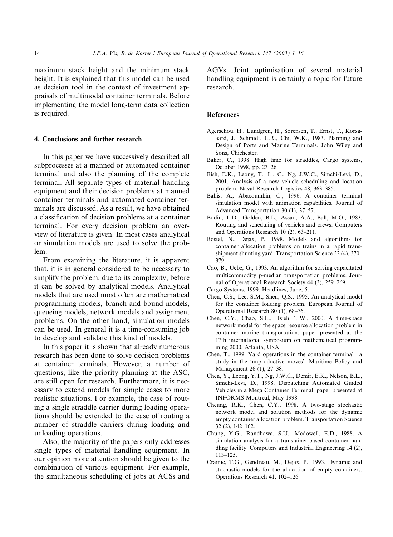maximum stack height and the minimum stack height. It is explained that this model can be used as decision tool in the context of investment appraisals of multimodal container terminals. Before implementing the model long-term data collection is required.

#### 4. Conclusions and further research

In this paper we have successively described all subprocesses at a manned or automated container terminal and also the planning of the complete terminal. All separate types of material handling equipment and their decision problems at manned container terminals and automated container terminals are discussed. As a result, we have obtained a classification of decision problems at a container terminal. For every decision problem an overview of literature is given. In most cases analytical or simulation models are used to solve the problem.

From examining the literature, it is apparent that, it is in general considered to be necessary to simplify the problem, due to its complexity, before it can be solved by analytical models. Analytical models that are used most often are mathematical programming models, branch and bound models, queueing models, network models and assignment problems. On the other hand, simulation models can be used. In general it is a time-consuming job to develop and validate this kind of models.

In this paper it is shown that already numerous research has been done to solve decision problems at container terminals. However, a number of questions, like the priority planning at the ASC, are still open for research. Furthermore, it is necessary to extend models for simple cases to more realistic situations. For example, the case of routing a single straddle carrier during loading operations should be extended to the case of routing a number of straddle carriers during loading and unloading operations.

Also, the majority of the papers only addresses single types of material handling equipment. In our opinion more attention should be given to the combination of various equipment. For example, the simultaneous scheduling of jobs at ACSs and AGVs. Joint optimisation of several material handling equipment is certainly a topic for future research.

### References

- Agerschou, H., Lundgren, H., Sørensen, T., Ernst, T., Korsgaard, J., Schmidt, L.R., Chi, W.K., 1983. Planning and Design of Ports and Marine Terminals. John Wiley and Sons, Chichester.
- Baker, C., 1998. High time for straddles, Cargo systems, October 1998, pp. 23–26.
- Bish, E.K., Leong, T., Li, C., Ng, J.W.C., Simchi-Levi, D., 2001. Analysis of a new vehicle scheduling and location problem. Naval Research Logistics 48, 363–385.
- Ballis, A., Abacoumkin, C., 1996. A container terminal simulation model with animation capabilities. Journal of Advanced Transportation 30 (1), 37–57.
- Bodin, L.D., Golden, B.L., Assad, A.A., Ball, M.O., 1983. Routing and scheduling of vehicles and crews. Computers and Operations Research 10 (2), 63–211.
- Bostel, N., Dejax, P., 1998. Models and algorithms for container allocation problems on trains in a rapid transshipment shunting yard. Transportation Science 32 (4), 370– 379.
- Cao, B., Uebe, G., 1993. An algorithm for solving capacitated multicommodity p-median transportation problems. Journal of Operational Research Society 44 (3), 259–269.
- Cargo Systems, 1999. Headlines, June, 5.
- Chen, C.S., Lee, S.M., Shen, Q.S., 1995. An analytical model for the container loading problem. European Journal of Operational Research 80 (1), 68–76.
- Chen, C.Y., Chao, S.L., Hsieh, T.W., 2000. A time-space network model for the space resource allocation problem in container marine transportation, paper presented at the 17th international symposium on mathematical programming 2000, Atlanta, USA.
- Chen, T., 1999. Yard operations in the container terminal––a study in the 'unproductive moves. Maritime Policy and Management 26 (1), 27–38.
- Chen, Y., Leong, Y.T., Ng, J.W.C., Demir, E.K., Nelson, B.L., Simchi-Levi, D., 1998. Dispatching Automated Guided Vehicles in a Mega Container Terminal, paper presented at INFORMS Montreal, May 1998.
- Cheung, R.K., Chen, C.Y., 1998. A two-stage stochastic network model and solution methods for the dynamic empty container allocation problem. Transportation Science 32 (2), 142–162.
- Chung, Y.G., Randhawa, S.U., Mcdowell, E.D., 1988. A simulation analysis for a transtainer-based container handling facility. Computers and Industrial Engineering 14 (2), 113–125.
- Crainic, T.G., Gendreau, M., Dejax, P., 1993. Dynamic and stochastic models for the allocation of empty containers. Operations Research 41, 102–126.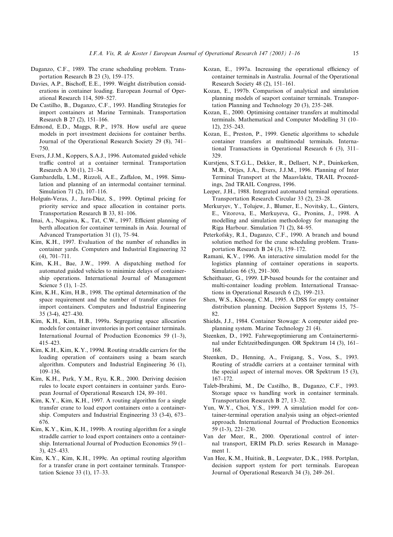- Daganzo, C.F., 1989. The crane scheduling problem. Transportation Research B 23 (3), 159–175.
- Davies, A.P., Bischoff, E.E., 1999. Weight distribution considerations in container loading. European Journal of Operational Research 114, 509–527.
- De Castilho, B., Daganzo, C.F., 1993. Handling Strategies for import containers at Marine Terminals. Transportation Research B 27 (2), 151–166.
- Edmond, E.D., Maggs, R.P., 1978. How useful are queue models in port investment decisions for container berths. Journal of the Operational Research Society 29 (8), 741– 750.
- Evers, J.J.M., Koppers, S.A.J., 1996. Automated guided vehicle traffic control at a container terminal. Transportation Research A 30 (1), 21–34.
- Gambardella, L.M., Rizzoli, A.E., Zaffalon, M., 1998. Simulation and planning of an intermodal container terminal. Simulation 71 (2), 107–116.
- Holguín-Veras, J., Jara-Díaz, S., 1999. Optimal pricing for priority service and space allocation in container ports. Transportation Research B 33, 81–106.
- Imai, A., Nagaiwa, K., Tat, C.W., 1997. Efficient planning of berth allocation for container terminals in Asia. Journal of Advanced Transportation 31 (1), 75–94.
- Kim, K.H., 1997. Evaluation of the number of rehandles in container yards. Computers and Industrial Engineering 32 (4), 701–711.
- Kim, K.H., Bae, J.W., 1999. A dispatching method for automated guided vehicles to minimize delays of containership operations. International Journal of Management Science 5 (1), 1–25.
- Kim, K.H., Kim, H.B., 1998. The optimal determination of the space requirement and the number of transfer cranes for import containers. Computers and Industrial Engineering 35 (3-4), 427–430.
- Kim, K.H., Kim, H.B., 1999a. Segregating space allocation models for container inventories in port container terminals. International Journal of Production Economics 59 (1–3), 415–423.
- Kim, K.H., Kim, K.Y., 1999d. Routing straddle carriers for the loading operation of containers using a beam search algorithm. Computers and Industrial Engineering 36 (1), 109–136.
- Kim, K.H., Park, Y.M., Ryu, K.R., 2000. Deriving decision rules to locate export containers in container yards. European Journal of Operational Research 124, 89–101.
- Kim, K.Y., Kim, K.H., 1997. A routing algorithm for a single transfer crane to load export containers onto a containership. Computers and Industrial Engineering 33 (3-4), 673– 676.
- Kim, K.Y., Kim, K.H., 1999b. A routing algorithm for a single straddle carrier to load export containers onto a containership. International Journal of Production Economics 59 (1– 3), 425–433.
- Kim, K.Y., Kim, K.H., 1999c. An optimal routing algorithm for a transfer crane in port container terminals. Transportation Science 33 (1), 17–33.
- Kozan, E., 1997a. Increasing the operational efficiency of container terminals in Australia. Journal of the Operational Research Society 48 (2), 151–161.
- Kozan, E., 1997b. Comparison of analytical and simulation planning models of seaport container terminals. Transportation Planning and Technology 20 (3), 235–248.
- Kozan, E., 2000. Optimising container transfers at multimodal terminals. Mathematical and Computer Modelling 31 (10– 12), 235–243.
- Kozan, E., Preston, P., 1999. Genetic algorithms to schedule container transfers at multimodal terminals. International Transactions in Operational Research 6 (3), 311– 329.
- Kurstjens, S.T.G.L., Dekker, R., Dellaert, N.P., Duinkerken, M.B., Ottjes, J.A., Evers, J.J.M., 1996. Planning of Inter Terminal Transport at the Maasvlakte, TRAIL Proceedings, 2nd TRAIL Congress, 1996.
- Leeper, J.H., 1988. Integrated automated terminal operations. Transportation Research Circular 33 (2), 23–28.
- Merkuryev, Y., Tolujew, J., Blumer, E., Novitsky, L., Ginters, E., Vitorova, E., Merkuyeva, G., Pronins, J., 1998. A modelling and simulation methodology for managing the Riga Harbour. Simulation 71 (2), 84–95.
- Peterkofsky, R.I., Daganzo, C.F., 1990. A branch and bound solution method for the crane scheduling problem. Transportation Research B 24 (3), 159–172.
- Ramani, K.V., 1996. An interactive simulation model for the logistics planning of container operations in seaports. Simulation 66 (5), 291–300.
- Scheithauer, G., 1999. LP-based bounds for the container and multi-container loading problem. International Transactions in Operational Research 6 (2), 199–213.
- Shen, W.S., Khoong, C.M., 1995. A DSS for empty container distribution planning. Decision Support Systems 15, 75– 82.
- Shields, J.J., 1984. Container Stowage: A computer aided preplanning system. Marine Technology 21 (4).
- Steenken, D., 1992. Fahrwegoptimierung am Containerterminal under Echtzeitbedingungen. OR Spektrum 14 (3), 161– 168.
- Steenken, D., Henning, A., Freigang, S., Voss, S., 1993. Routing of straddle carriers at a container terminal with the special aspect of internal moves. OR Spektrum 15 (3), 167–172.
- Taleb-Ibrahimi, M., De Castilho, B., Daganzo, C.F., 1993. Storage space vs handling work in container terminals. Transportation Research B 27, 13–32.
- Yun, W.Y., Choi, Y.S., 1999. A simulation model for container-terminal operation analysis using an object-oriented approach. International Journal of Production Economics 59 (1-3), 221–230.
- Van der Meer, R., 2000. Operational control of internal transport, ERIM Ph.D. series Research in Management 1.
- Van Hee, K.M., Huitink, B., Leegwater, D.K., 1988. Portplan, decision support system for port terminals. European Journal of Operational Research 34 (3), 249–261.